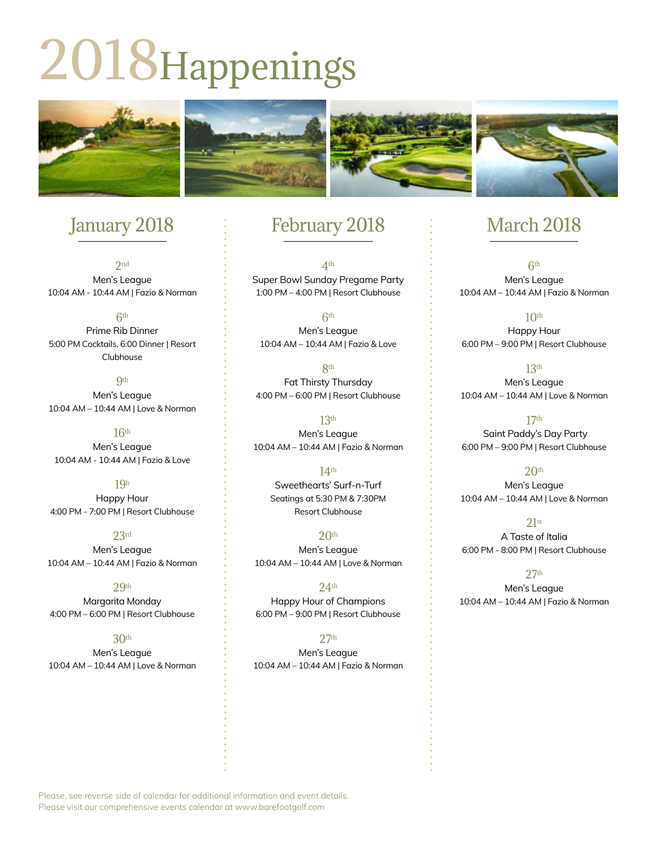# 2018Happenings



# January 2018

 $2nd$ Men's League 10:04 AM - 10:44 AM | Fazio & Norman

6th Prime Rib Dinner 5:00 PM Cocktails, 6:00 Dinner | Resort Clubhouse

**9th** Men's League 10:04 AM – 10:44 AM | Love & Norman

 $16<sup>th</sup>$ Men's League 10:04 AM - 10:44 AM | Fazio & Love

19h Happy Hour 4:00 PM - 7:00 PM | Resort Clubhouse

23rd Men's League 10:04 AM – 10:44 AM | Fazio & Norman

29th Margarita Monday 4:00 PM – 6:00 PM | Resort Clubhouse

#### 30th

Men's League 10:04 AM – 10:44 AM | Love & Norman

### February 2018

4th Super Bowl Sunday Pregame Party 1:00 PM – 4:00 PM | Resort Clubhouse

 $6<sup>th</sup>$ Men's League 10:04 AM – 10:44 AM | Fazio & Love

**Rth** Fat Thirsty Thursday 4:00 PM – 6:00 PM | Resort Clubhouse

13th Men's League 10:04 AM – 10:44 AM | Fazio & Norman

> 14th Sweethearts' Surf-n-Turf Seatings at 5:30 PM & 7:30PM Resort Clubhouse

 $20<sup>th</sup>$ Men's League 10:04 AM – 10:44 AM | Love & Norman

 $24<sup>th</sup>$ Happy Hour of Champions 6:00 PM – 9:00 PM | Resort Clubhouse

27th Men's League 10:04 AM – 10:44 AM | Fazio & Norman

## March 2018

6th Men's League 10:04 AM – 10:44 AM | Fazio & Norman

 $10<sup>th</sup>$ Happy Hour 6:00 PM – 9:00 PM | Resort Clubhouse

13th Men's League 10:04 AM – 10:44 AM | Love & Norman

17th Saint Paddy's Day Party 6:00 PM – 9:00 PM | Resort Clubhouse

 $20<sup>th</sup>$ Men's League 10:04 AM – 10:44 AM | Love & Norman

21st A Taste of Italia 6:00 PM - 8:00 PM | Resort Clubhouse

 $27<sup>th</sup>$ Men's League 10:04 AM – 10:44 AM | Fazio & Norman

Please, see reverse side of calendar for additional information and event details. Please visit our comprehensive events calendar at www.barefootgolf.com